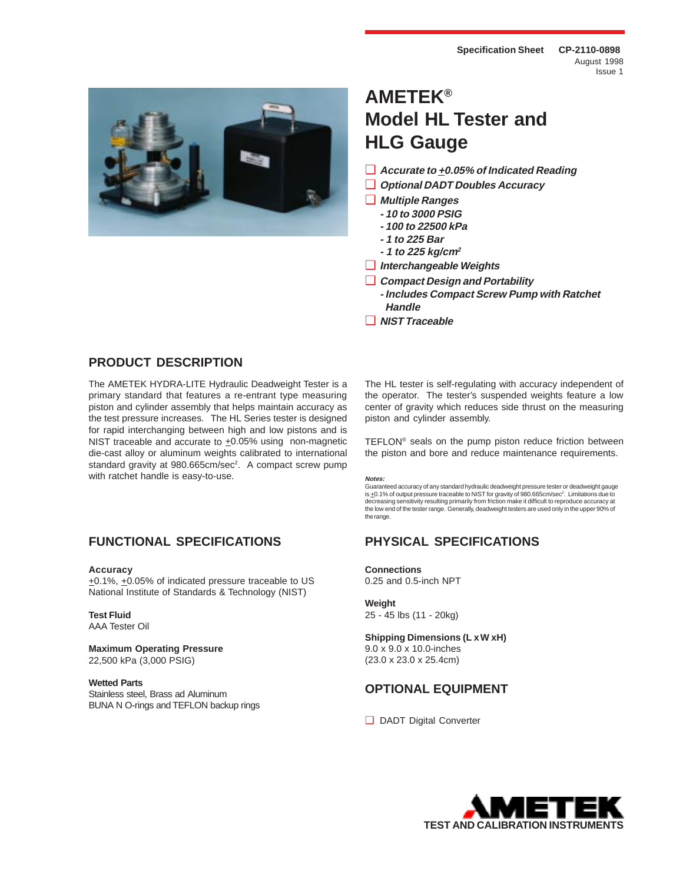

# **AMETEK® Model HL Tester and HLG Gauge**

- ❑ **Accurate to +0.05% of Indicated Reading**
- ❑ **Optional DADT Doubles Accuracy**
- ❑ **Multiple Ranges**
	- **10 to 3000 PSIG**
	- **100 to 22500 kPa**
	- **1 to 225 Bar**
	- **1 to 225 kg/cm<sup>2</sup>**
- ❑ **Interchangeable Weights**
- ❑ **Compact Design and Portability**
	- **Includes Compact Screw Pump with Ratchet Handle**
- ❑ **NIST Traceable**

# **PRODUCT DESCRIPTION**

The AMETEK HYDRA-LITE Hydraulic Deadweight Tester is a primary standard that features a re-entrant type measuring piston and cylinder assembly that helps maintain accuracy as the test pressure increases. The HL Series tester is designed for rapid interchanging between high and low pistons and is NIST traceable and accurate to  $±0.05%$  using non-magnetic die-cast alloy or aluminum weights calibrated to international standard gravity at 980.665cm/sec<sup>2</sup>. A compact screw pump with ratchet handle is easy-to-use.

# **FUNCTIONAL SPECIFICATIONS PHYSICAL SPECIFICATIONS**

#### **Accuracy**

+0.1%, +0.05% of indicated pressure traceable to US National Institute of Standards & Technology (NIST)

# **Test Fluid**

AAA Tester Oil

**Maximum Operating Pressure** 22,500 kPa (3,000 PSIG)

#### **Wetted Parts**

Stainless steel, Brass ad Aluminum BUNA N O-rings and TEFLON backup rings

The HL tester is self-regulating with accuracy independent of the operator. The tester's suspended weights feature a low center of gravity which reduces side thrust on the measuring piston and cylinder assembly.

TEFLON® seals on the pump piston reduce friction between the piston and bore and reduce maintenance requirements.

#### **Notes:**

Guaranteed accuracy of any standard hydraulic deadweight pressure tester or deadweight gauge is ±0.1% of output pressure traceable to NIST for gravity of 980.665cm/sec<sup>2</sup>. Limitations due to<br>decreasing sensitivity resulting primarily from friction make it difficult to reproduce accuracy at the low end of the tester range. Generally, deadweight testers are used only in the upper 90% of the range.

**Connections** 0.25 and 0.5-inch NPT

**Weight** 25 - 45 lbs (11 - 20kg)

**Shipping Dimensions (L x W xH)** 9.0 x 9.0 x 10.0-inches (23.0 x 23.0 x 25.4cm)

# **OPTIONAL EQUIPMENT**

❑ DADT Digital Converter

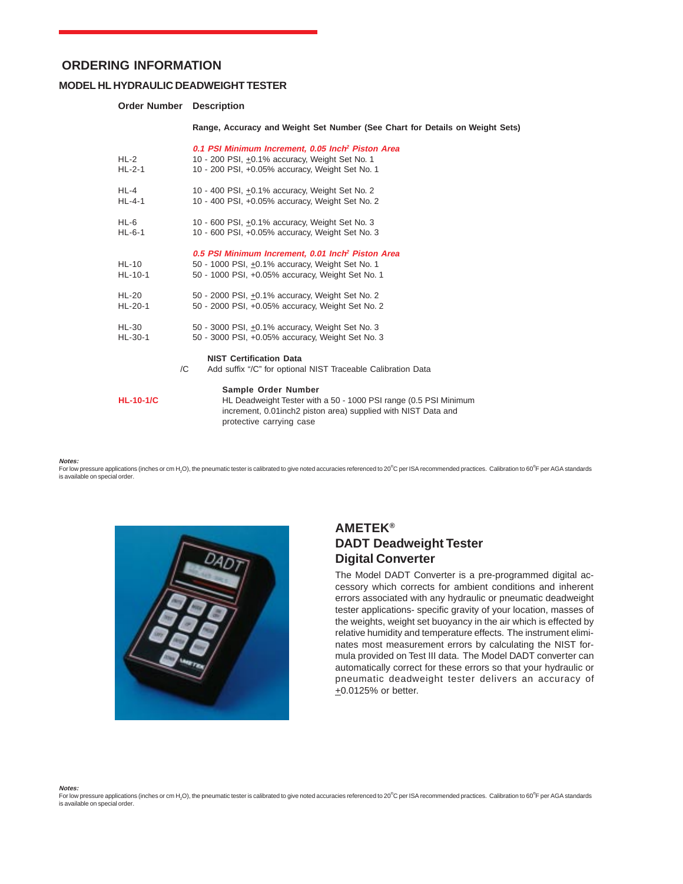#### **MODEL HL HYDRAULIC DEADWEIGHT TESTER**

#### **Order Number Description**

**Range, Accuracy and Weight Set Number (See Chart for Details on Weight Sets)**

| $HL-2$<br>$HL-2-1$   | 0.1 PSI Minimum Increment, 0.05 Inch <sup>2</sup> Piston Area<br>10 - 200 PSI, +0.1% accuracy, Weight Set No. 1<br>10 - 200 PSI, +0.05% accuracy, Weight Set No. 1                    |
|----------------------|---------------------------------------------------------------------------------------------------------------------------------------------------------------------------------------|
| $HL-4$               | 10 - 400 PSI, +0.1% accuracy, Weight Set No. 2                                                                                                                                        |
| $HL-4-1$             | 10 - 400 PSI, +0.05% accuracy, Weight Set No. 2                                                                                                                                       |
| $HL-6$               | 10 - 600 PSI, ±0.1% accuracy, Weight Set No. 3                                                                                                                                        |
| HL-6-1               | 10 - 600 PSI, +0.05% accuracy, Weight Set No. 3                                                                                                                                       |
| $HL-10$<br>$HL-10-1$ | 0.5 PSI Minimum Increment, 0.01 Inch <sup>2</sup> Piston Area<br>50 - 1000 PSI, +0.1% accuracy, Weight Set No. 1<br>50 - 1000 PSI, +0.05% accuracy, Weight Set No. 1                  |
| <b>HL-20</b>         | 50 - 2000 PSI, +0.1% accuracy, Weight Set No. 2                                                                                                                                       |
| HL-20-1              | 50 - 2000 PSI, +0.05% accuracy, Weight Set No. 2                                                                                                                                      |
| HL-30                | 50 - 3000 PSI, +0.1% accuracy, Weight Set No. 3                                                                                                                                       |
| HL-30-1              | 50 - 3000 PSI, +0.05% accuracy, Weight Set No. 3                                                                                                                                      |
| /C                   | <b>NIST Certification Data</b><br>Add suffix "/C" for optional NIST Traceable Calibration Data                                                                                        |
| $HL-10-1/C$          | Sample Order Number<br>HL Deadweight Tester with a 50 - 1000 PSI range (0.5 PSI Minimum<br>increment, 0.01 inch2 piston area) supplied with NIST Data and<br>protective carrying case |

**Notes:**

For low pressure applications (inches or cm H<sub>2</sub>O), the pneumatic tester is calibrated to give noted accuracies referenced to 20°C per ISA recommended practices. Calibration to 60°F per AGA standards is available on special order.



# **AMETEK® DADT Deadweight Tester Digital Converter**

The Model DADT Converter is a pre-programmed digital accessory which corrects for ambient conditions and inherent errors associated with any hydraulic or pneumatic deadweight tester applications- specific gravity of your location, masses of the weights, weight set buoyancy in the air which is effected by relative humidity and temperature effects. The instrument eliminates most measurement errors by calculating the NIST formula provided on Test III data. The Model DADT converter can automatically correct for these errors so that your hydraulic or pneumatic deadweight tester delivers an accuracy of  $±0.0125%$  or better.

**Notes:**

For low pressure applications (inches or cm H<sub>2</sub>O), the pneumatic tester is calibrated to give noted accuracies referenced to 20°C per ISA recommended practices. Calibration to 60°F per AGA standards is available on special order.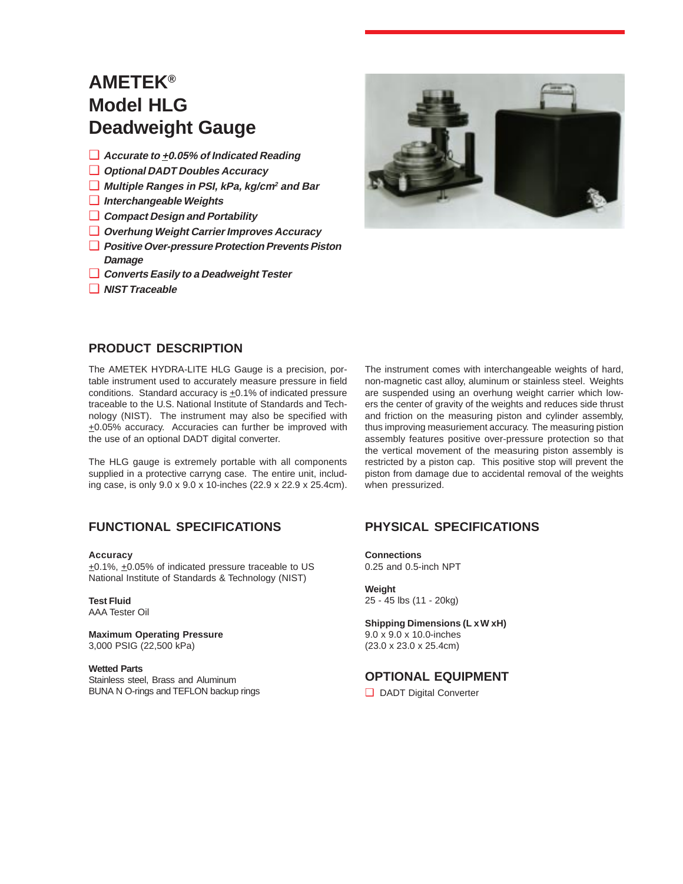# **AMETEK® Model HLG Deadweight Gauge**

- ❑ **Accurate to +0.05% of Indicated Reading**
- ❑ **Optional DADT Doubles Accuracy**
- ❑ **Multiple Ranges in PSI, kPa, kg/cm<sup>2</sup> and Bar**
- ❑ **Interchangeable Weights**
- ❑ **Compact Design and Portability**
- ❑ **Overhung Weight Carrier Improves Accuracy**
- ❑ **Positive Over-pressure Protection Prevents Piston Damage**
- ❑ **Converts Easily to a Deadweight Tester**
- ❑ **NIST Traceable**



# **PRODUCT DESCRIPTION**

The AMETEK HYDRA-LITE HLG Gauge is a precision, portable instrument used to accurately measure pressure in field conditions. Standard accuracy is  $\pm$ 0.1% of indicated pressure traceable to the U.S. National Institute of Standards and Technology (NIST). The instrument may also be specified with +0.05% accuracy. Accuracies can further be improved with the use of an optional DADT digital converter.

The HLG gauge is extremely portable with all components supplied in a protective carryng case. The entire unit, including case, is only 9.0 x 9.0 x 10-inches (22.9 x 22.9 x 25.4cm).

# **FUNCTIONAL SPECIFICATIONS PHYSICAL SPECIFICATIONS**

**Accuracy**

+0.1%, +0.05% of indicated pressure traceable to US National Institute of Standards & Technology (NIST)

**Test Fluid** AAA Tester Oil

**Maximum Operating Pressure** 3,000 PSIG (22,500 kPa)

#### **Wetted Parts**

Stainless steel, Brass and Aluminum BUNA N O-rings and TEFLON backup rings

The instrument comes with interchangeable weights of hard, non-magnetic cast alloy, aluminum or stainless steel. Weights are suspended using an overhung weight carrier which lowers the center of gravity of the weights and reduces side thrust and friction on the measuring piston and cylinder assembly, thus improving measuriement accuracy. The measuring pistion assembly features positive over-pressure protection so that the vertical movement of the measuring piston assembly is restricted by a piston cap. This positive stop will prevent the piston from damage due to accidental removal of the weights when pressurized.

**Connections** 0.25 and 0.5-inch NPT

**Weight** 25 - 45 lbs (11 - 20kg)

**Shipping Dimensions (L x W xH)** 9.0 x 9.0 x 10.0-inches (23.0 x 23.0 x 25.4cm)

# **OPTIONAL EQUIPMENT**

❑ DADT Digital Converter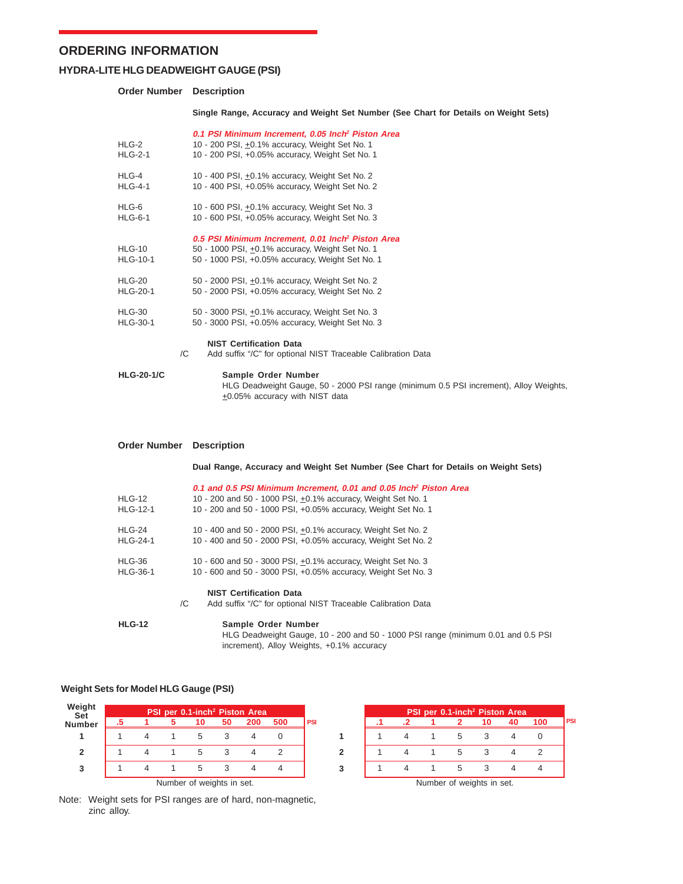### **HYDRA-LITE HLG DEADWEIGHT GAUGE (PSI)**

#### **Order Number Description**

**Single Range, Accuracy and Weight Set Number (See Chart for Details on Weight Sets)**

| HLG-2<br><b>HLG-2-1</b>     | 0.1 PSI Minimum Increment, 0.05 Inch <sup>2</sup> Piston Area<br>10 - 200 PSI, +0.1% accuracy, Weight Set No. 1<br>10 - 200 PSI, +0.05% accuracy, Weight Set No. 1   |
|-----------------------------|----------------------------------------------------------------------------------------------------------------------------------------------------------------------|
| HLG-4                       | 10 - 400 PSI, +0.1% accuracy, Weight Set No. 2                                                                                                                       |
| <b>HLG-4-1</b>              | 10 - 400 PSI, +0.05% accuracy, Weight Set No. 2                                                                                                                      |
| HLG-6                       | 10 - 600 PSI, +0.1% accuracy, Weight Set No. 3                                                                                                                       |
| <b>HLG-6-1</b>              | 10 - 600 PSI, +0.05% accuracy, Weight Set No. 3                                                                                                                      |
| $HLG-10$<br><b>HLG-10-1</b> | 0.5 PSI Minimum Increment, 0.01 Inch <sup>2</sup> Piston Area<br>50 - 1000 PSI, +0.1% accuracy, Weight Set No. 1<br>50 - 1000 PSI, +0.05% accuracy, Weight Set No. 1 |
| $HLG-20$                    | 50 - 2000 PSI, +0.1% accuracy, Weight Set No. 2                                                                                                                      |
| <b>HLG-20-1</b>             | 50 - 2000 PSI, +0.05% accuracy, Weight Set No. 2                                                                                                                     |
| $HLG-30$                    | 50 - 3000 PSI, +0.1% accuracy, Weight Set No. 3                                                                                                                      |
| <b>HLG-30-1</b>             | 50 - 3000 PSI, +0.05% accuracy, Weight Set No. 3                                                                                                                     |
|                             | <b>NIST Certification Data</b><br>Add suffix "/C" for optional NIST Traceable Calibration Data<br>/C                                                                 |
| <b>HLG-20-1/C</b>           | Sample Order Number<br>HLG Deadweight Gauge, 50 - 2000 PSI range (minimum 0.5 PSI increment), Alloy Weights,<br>+0.05% accuracy with NIST data                       |

| <b>Order Number</b>       | <b>Description</b>                                                                                                                                                                                              |
|---------------------------|-----------------------------------------------------------------------------------------------------------------------------------------------------------------------------------------------------------------|
|                           | Dual Range, Accuracy and Weight Set Number (See Chart for Details on Weight Sets)                                                                                                                               |
| HLG-12<br><b>HLG-12-1</b> | 0.1 and 0.5 PSI Minimum Increment, 0.01 and 0.05 Inch <sup>2</sup> Piston Area<br>10 - 200 and 50 - 1000 PSI, +0.1% accuracy, Weight Set No. 1<br>10 - 200 and 50 - 1000 PSI, +0.05% accuracy, Weight Set No. 1 |
| HLG-24<br><b>HLG-24-1</b> | 10 - 400 and 50 - 2000 PSI, +0.1% accuracy, Weight Set No. 2<br>10 - 400 and 50 - 2000 PSI, +0.05% accuracy, Weight Set No. 2                                                                                   |
| HLG-36<br><b>HLG-36-1</b> | 10 - 600 and 50 - 3000 PSI, +0.1% accuracy, Weight Set No. 3<br>10 - 600 and 50 - 3000 PSI, +0.05% accuracy, Weight Set No. 3                                                                                   |
| /C                        | <b>NIST Certification Data</b><br>Add suffix "/C" for optional NIST Traceable Calibration Data                                                                                                                  |
| <b>HLG-12</b>             | Sample Order Number<br>HLG Deadweight Gauge, 10 - 200 and 50 - 1000 PSI range (minimum 0.01 and 0.5 PSI<br>increment), Alloy Weights, +0.1% accuracy                                                            |

**1**

**3 2**

#### **Weight Sets for Model HLG Gauge (PSI)**

| Weight<br>Set | PSI per 0.1-inch <sup>2</sup> Piston Area |  |  |                           |    |     |     |            |  |  |  |  |  |
|---------------|-------------------------------------------|--|--|---------------------------|----|-----|-----|------------|--|--|--|--|--|
| <b>Number</b> | .5                                        |  |  | 10                        | 50 | 200 | 500 | <b>PSI</b> |  |  |  |  |  |
|               |                                           |  |  | 5                         |    |     |     |            |  |  |  |  |  |
| 2             |                                           |  |  | 5                         |    |     |     |            |  |  |  |  |  |
| 3             |                                           |  |  | 5                         |    |     |     |            |  |  |  |  |  |
|               |                                           |  |  | Number of weights in set. |    |     |     |            |  |  |  |  |  |

**PSI per 0.1-inch2 Piston Area .1 .2 1 2 10 40 100** 1415340 1415342 1415344 **PSI**

Note: Weight sets for PSI ranges are of hard, non-magnetic, zinc alloy.

Number of weights in set.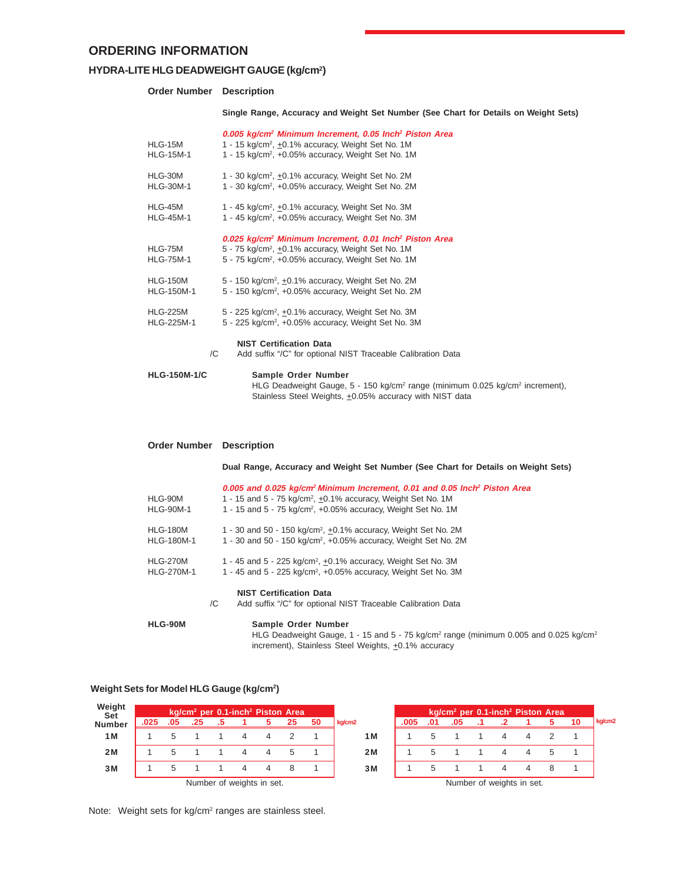#### **HYDRA-LITE HLG DEADWEIGHT GAUGE (kg/cm2 )**

#### **Order Number Description**

**Single Range, Accuracy and Weight Set Number (See Chart for Details on Weight Sets)**

| <b>Order Number</b>                  | <b>Description</b>                                                                                                                                                                                                     |
|--------------------------------------|------------------------------------------------------------------------------------------------------------------------------------------------------------------------------------------------------------------------|
| <b>HLG-150M-1/C</b>                  | Sample Order Number<br>HLG Deadweight Gauge, 5 - 150 kg/cm <sup>2</sup> range (minimum 0.025 kg/cm <sup>2</sup> increment),<br>Stainless Steel Weights, +0.05% accuracy with NIST data                                 |
| /C                                   | <b>NIST Certification Data</b><br>Add suffix "/C" for optional NIST Traceable Calibration Data                                                                                                                         |
| <b>HLG-225M</b><br><b>HLG-225M-1</b> | 5 - 225 kg/cm <sup>2</sup> , $\pm$ 0.1% accuracy, Weight Set No. 3M<br>5 - 225 kg/cm <sup>2</sup> , +0.05% accuracy, Weight Set No. 3M                                                                                 |
| <b>HLG-150M</b><br><b>HLG-150M-1</b> | 5 - 150 kg/cm <sup>2</sup> , $\pm$ 0.1% accuracy, Weight Set No. 2M<br>5 - 150 kg/cm <sup>2</sup> , +0.05% accuracy, Weight Set No. 2M                                                                                 |
| HLG-75M<br><b>HLG-75M-1</b>          | 0.025 kg/cm <sup>2</sup> Minimum Increment, 0.01 Inch <sup>2</sup> Piston Area<br>5 - 75 kg/cm <sup>2</sup> , ±0.1% accuracy, Weight Set No. 1M<br>5 - 75 kg/cm <sup>2</sup> , +0.05% accuracy, Weight Set No. 1M      |
| HLG-45M<br><b>HLG-45M-1</b>          | 1 - 45 kg/cm <sup>2</sup> , +0.1% accuracy, Weight Set No. 3M<br>1 - 45 kg/cm <sup>2</sup> , +0.05% accuracy, Weight Set No. 3M                                                                                        |
| HLG-30M<br><b>HLG-30M-1</b>          | 1 - 30 kg/cm <sup>2</sup> , +0.1% accuracy, Weight Set No. 2M<br>1 - 30 kg/cm <sup>2</sup> , +0.05% accuracy, Weight Set No. 2M                                                                                        |
| HLG-15M<br><b>HLG-15M-1</b>          | 0.005 kg/cm <sup>2</sup> Minimum Increment, 0.05 Inch <sup>2</sup> Piston Area<br>1 - 15 kg/cm <sup>2</sup> , $\pm$ 0.1% accuracy, Weight Set No. 1M<br>1 - 15 kg/cm <sup>2</sup> , +0.05% accuracy, Weight Set No. 1M |

#### **Dual Range, Accuracy and Weight Set Number (See Chart for Details on Weight Sets)**

| HLG-90M<br><b>HLG-90M-1</b>          | 0.005 and 0.025 kg/cm <sup>2</sup> Minimum Increment, 0.01 and 0.05 Inch <sup>2</sup> Piston Area<br>1 - 15 and 5 - 75 kg/cm <sup>2</sup> , +0.1% accuracy, Weight Set No. 1M<br>1 - 15 and 5 - 75 kg/cm <sup>2</sup> , +0.05% accuracy, Weight Set No. 1M |
|--------------------------------------|------------------------------------------------------------------------------------------------------------------------------------------------------------------------------------------------------------------------------------------------------------|
| <b>HLG-180M</b><br><b>HLG-180M-1</b> | 1 - 30 and 50 - 150 kg/cm <sup>2</sup> , $+0.1\%$ accuracy, Weight Set No. 2M<br>1 - 30 and 50 - 150 kg/cm <sup>2</sup> , $+0.05%$ accuracy, Weight Set No. 2M                                                                                             |
| <b>HLG-270M</b><br><b>HLG-270M-1</b> | 1 - 45 and 5 - 225 kg/cm <sup>2</sup> , $+0.1\%$ accuracy, Weight Set No. 3M<br>1 - 45 and 5 - 225 kg/cm <sup>2</sup> , +0.05% accuracy, Weight Set No. 3M                                                                                                 |
|                                      | <b>NIST Certification Data</b><br>Add suffix "/C" for optional NIST Traceable Calibration Data<br>/C                                                                                                                                                       |
| HLG-90M                              | Sample Order Number<br>HLG Deadweight Gauge, 1 - 15 and 5 - 75 kg/cm <sup>2</sup> range (minimum 0.005 and 0.025 kg/cm <sup>2</sup>                                                                                                                        |

#### **Weight Sets for Model HLG Gauge (kg/cm2 )**

| Weight<br><b>Set</b> |      |     |                           |  | kg/cm <sup>2</sup> per 0.1-inch <sup>2</sup> Piston Area |    |        |      |     | kg/cm <sup>2</sup> per 0.1-inch <sup>2</sup> Piston Area |  |  |        |
|----------------------|------|-----|---------------------------|--|----------------------------------------------------------|----|--------|------|-----|----------------------------------------------------------|--|--|--------|
| <b>Number</b>        | .025 | .05 | .25                       |  | 25                                                       | 50 | kg/cm2 | .005 | .01 | .05                                                      |  |  | kg/cm2 |
| 1 M                  |      |     |                           |  |                                                          |    | 1 M    |      |     |                                                          |  |  |        |
| 2M                   |      |     |                           |  |                                                          |    | 2M     |      |     |                                                          |  |  |        |
| 3M                   |      |     |                           |  |                                                          |    | 3M     |      |     |                                                          |  |  |        |
|                      |      |     | Number of weights in set. |  |                                                          |    |        |      |     | Number of weights in set.                                |  |  |        |

increment), Stainless Steel Weights,  $\pm$ 0.1% accuracy

Note: Weight sets for kg/cm<sup>2</sup> ranges are stainless steel.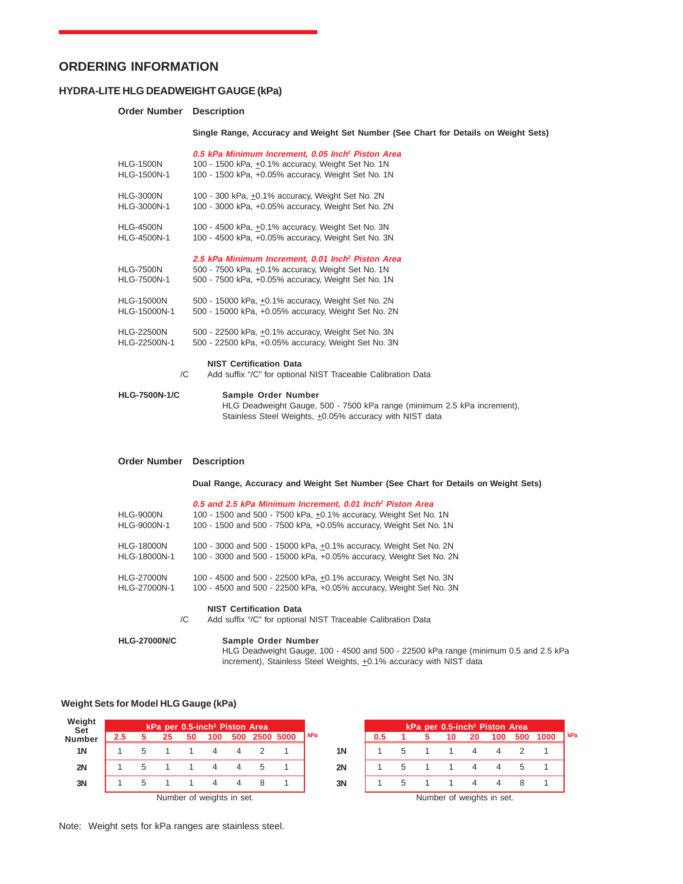#### **HYDRA-LITE HLG DEADWEIGHT GAUGE (kPa)**

#### **Order Number Description**

#### **Single Range, Accuracy and Weight Set Number (See Chart for Details on Weight Sets)**

| <b>HLG-1500N</b><br>HLG-1500N-1 | 0.5 kPa Minimum Increment, 0.05 Inch <sup>2</sup> Piston Area<br>100 - 1500 kPa, +0.1% accuracy, Weight Set No. 1N<br>100 - 1500 kPa, +0.05% accuracy, Weight Set No. 1N |
|---------------------------------|--------------------------------------------------------------------------------------------------------------------------------------------------------------------------|
| <b>HLG-3000N</b>                | 100 - 300 kPa, ±0.1% accuracy, Weight Set No. 2N                                                                                                                         |
| HLG-3000N-1                     | 100 - 3000 kPa, +0.05% accuracy, Weight Set No. 2N                                                                                                                       |
| <b>HLG-4500N</b>                | 100 - 4500 kPa, +0.1% accuracy, Weight Set No. 3N                                                                                                                        |
| HLG-4500N-1                     | 100 - 4500 kPa, +0.05% accuracy, Weight Set No. 3N                                                                                                                       |
| <b>HLG-7500N</b><br>HLG-7500N-1 | 2.5 kPa Minimum Increment, 0.01 Inch <sup>2</sup> Piston Area<br>500 - 7500 kPa, +0.1% accuracy, Weight Set No. 1N<br>500 - 7500 kPa, +0.05% accuracy, Weight Set No. 1N |
| <b>HLG-15000N</b>               | 500 - 15000 kPa, $\pm$ 0.1% accuracy, Weight Set No. 2N                                                                                                                  |
| HLG-15000N-1                    | 500 - 15000 kPa, +0.05% accuracy, Weight Set No. 2N                                                                                                                      |
| <b>HLG-22500N</b>               | 500 - 22500 kPa, +0.1% accuracy, Weight Set No. 3N                                                                                                                       |
| HLG-22500N-1                    | 500 - 22500 kPa, +0.05% accuracy, Weight Set No. 3N                                                                                                                      |
| /C                              | <b>NIST Certification Data</b><br>Add suffix "/C" for optional NIST Traceable Calibration Data                                                                           |
| <b>HLG-7500N-1/C</b>            | Sample Order Number<br>$\sim$ $\sim$ $\sim$                                                                                                                              |

HLG Deadweight Gauge, 500 - 7500 kPa range (minimum 2.5 kPa increment), Stainless Steel Weights,  $\pm$ 0.05% accuracy with NIST data

#### **Order Number Description**

#### **Dual Range, Accuracy and Weight Set Number (See Chart for Details on Weight Sets)**

|                   | 0.5 and 2.5 kPa Minimum Increment, 0.01 Inch <sup>2</sup> Piston Area |
|-------------------|-----------------------------------------------------------------------|
| <b>HLG-9000N</b>  | 100 - 1500 and 500 - 7500 kPa, +0.1% accuracy, Weight Set No. 1N      |
| HLG-9000N-1       | 100 - 1500 and 500 - 7500 kPa, +0.05% accuracy, Weight Set No. 1N     |
| <b>HLG-18000N</b> | 100 - 3000 and 500 - 15000 kPa, +0.1% accuracy, Weight Set No. 2N     |
| HLG-18000N-1      | 100 - 3000 and 500 - 15000 kPa, +0.05% accuracy, Weight Set No. 2N    |
| <b>HLG-27000N</b> | 100 - 4500 and 500 - 22500 kPa, +0.1% accuracy, Weight Set No. 3N     |
| HLG-27000N-1      | 100 - 4500 and 500 - 22500 kPa, +0.05% accuracy, Weight Set No. 3N    |
|                   | <b>NIST Certification Data</b>                                        |
|                   | Add outting "IO" for ontional NIOT Tropophla Collegetion Data         |

/C Add suffix "/C" for optional NIST Traceable Calibration Data

# **HLG-27000N/C Sample Order Number**

HLG Deadweight Gauge, 100 - 4500 and 500 - 22500 kPa range (minimum 0.5 and 2.5 kPa increment), Stainless Steel Weights,  $\pm$ 0.1% accuracy with NIST data

#### **Weight Sets for Model HLG Gauge (kPa)**

| Weight<br><b>Set</b> | kPa per 0.5-inch <sup>2</sup> Piston Area |  |    |  |                           |     |  |           |       |     |  | kPa per 0.5-inch <sup>2</sup> Piston Area |    |     |     |      |       |
|----------------------|-------------------------------------------|--|----|--|---------------------------|-----|--|-----------|-------|-----|--|-------------------------------------------|----|-----|-----|------|-------|
| <b>Number</b>        | 2.5                                       |  | 25 |  | 100                       | 500 |  | 2500 5000 | l kPa | 0.5 |  | 10                                        | 20 | 100 | 500 | 1000 | I kPa |
| 1 <sup>N</sup>       |                                           |  |    |  |                           |     |  |           | 1N    |     |  |                                           |    |     |     |      |       |
| 2N                   |                                           |  |    |  |                           |     |  |           | 2N    |     |  |                                           |    |     |     |      |       |
| 3N                   |                                           |  |    |  |                           |     |  |           | 3N    |     |  |                                           |    |     |     |      |       |
|                      |                                           |  |    |  | Number of weights in set. |     |  |           |       |     |  | Number of weights in set.                 |    |     |     |      |       |

Note: Weight sets for kPa ranges are stainless steel.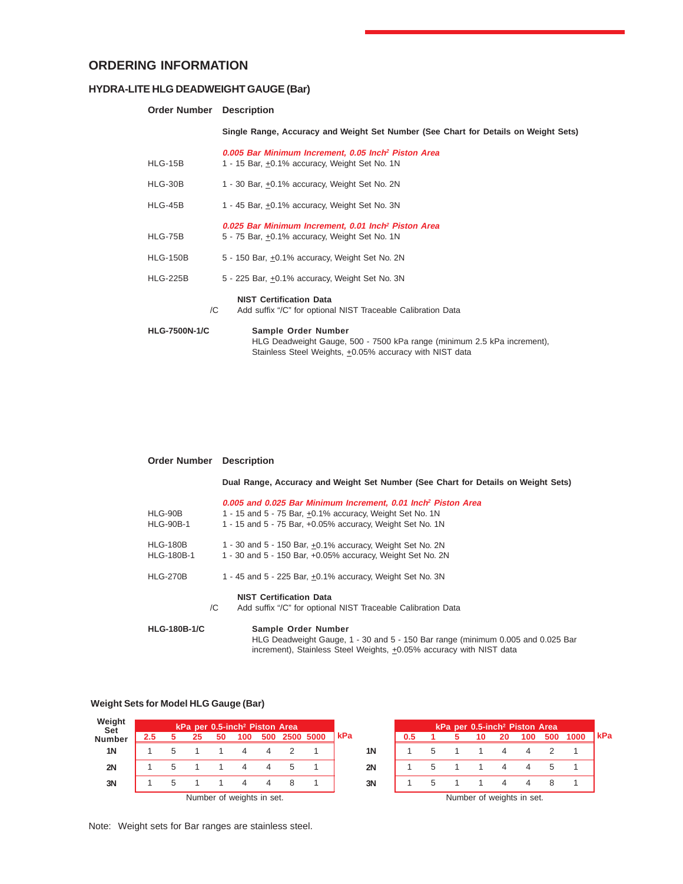### **HYDRA-LITE HLG DEADWEIGHT GAUGE (Bar)**

### **Order Number Description**

**Single Range, Accuracy and Weight Set Number (See Chart for Details on Weight Sets)**

| HLG-15B              | 0.005 Bar Minimum Increment, 0.05 Inch <sup>2</sup> Piston Area<br>1 - 15 Bar, +0.1% accuracy, Weight Set No. 1N                                          |
|----------------------|-----------------------------------------------------------------------------------------------------------------------------------------------------------|
| HLG-30B              | 1 - 30 Bar, +0.1% accuracy, Weight Set No. 2N                                                                                                             |
| HLG-45B              | 1 - 45 Bar, +0.1% accuracy, Weight Set No. 3N                                                                                                             |
| HLG-75B              | 0.025 Bar Minimum Increment, 0.01 Inch <sup>2</sup> Piston Area<br>5 - 75 Bar, +0.1% accuracy, Weight Set No. 1N                                          |
| <b>HLG-150B</b>      | 5 - 150 Bar, +0.1% accuracy, Weight Set No. 2N                                                                                                            |
| <b>HLG-225B</b>      | 5 - 225 Bar, +0.1% accuracy, Weight Set No. 3N                                                                                                            |
| /C                   | <b>NIST Certification Data</b><br>Add suffix "/C" for optional NIST Traceable Calibration Data                                                            |
| <b>HLG-7500N-1/C</b> | Sample Order Number<br>HLG Deadweight Gauge, 500 - 7500 kPa range (minimum 2.5 kPa increment),<br>Stainless Steel Weights, +0.05% accuracy with NIST data |

### **Order Number Description**

**Dual Range, Accuracy and Weight Set Number (See Chart for Details on Weight Sets)**

|                     | 0.005 and 0.025 Bar Minimum Increment, 0.01 Inch <sup>2</sup> Piston Area                                                                              |
|---------------------|--------------------------------------------------------------------------------------------------------------------------------------------------------|
| HLG-90B             | 1 - 15 and 5 - 75 Bar, +0.1% accuracy, Weight Set No. 1N                                                                                               |
| <b>HLG-90B-1</b>    | 1 - 15 and 5 - 75 Bar, +0.05% accuracy, Weight Set No. 1N                                                                                              |
| <b>HLG-180B</b>     | 1 - 30 and 5 - 150 Bar, +0.1% accuracy, Weight Set No. 2N                                                                                              |
| <b>HLG-180B-1</b>   | 1 - 30 and 5 - 150 Bar, +0.05% accuracy, Weight Set No. 2N                                                                                             |
| <b>HLG-270B</b>     | 1 - 45 and 5 - 225 Bar, +0.1% accuracy, Weight Set No. 3N                                                                                              |
|                     | <b>NIST Certification Data</b>                                                                                                                         |
|                     | Add suffix "/C" for optional NIST Traceable Calibration Data<br>/C                                                                                     |
| <b>HLG-180B-1/C</b> | Sample Order Number                                                                                                                                    |
|                     | HLG Deadweight Gauge, 1 - 30 and 5 - 150 Bar range (minimum 0.005 and 0.025 Bar<br>increment), Stainless Steel Weights, +0.05% accuracy with NIST data |

#### **Weight Sets for Model HLG Gauge (Bar)**

| Weight<br><b>Set</b> | kPa per 0.5-inch <sup>2</sup> Piston Area |  |    |    |                           |     |  |           |           | kPa per 0.5-inch <sup>2</sup> Piston Area |                           |  |    |    |     |             |      |            |  |
|----------------------|-------------------------------------------|--|----|----|---------------------------|-----|--|-----------|-----------|-------------------------------------------|---------------------------|--|----|----|-----|-------------|------|------------|--|
| <b>Number</b>        | $2.5\phantom{0}$                          |  | 25 | 50 | 100                       | 500 |  | 2500 5000 | l kPa     | 0.5                                       |                           |  | 10 | 20 | 100 | 500         | 1000 | <b>kPa</b> |  |
| <b>1N</b>            |                                           |  |    |    |                           |     |  |           | <b>1N</b> |                                           |                           |  |    |    |     |             |      |            |  |
| 2N                   |                                           |  |    |    |                           |     |  |           | 2N        |                                           |                           |  |    |    |     | $\mathbf b$ |      |            |  |
| 3N                   |                                           |  |    |    |                           |     |  |           | 3N        |                                           |                           |  |    |    |     |             |      |            |  |
|                      |                                           |  |    |    | Number of weights in set. |     |  |           |           |                                           | Number of weights in set. |  |    |    |     |             |      |            |  |

Note: Weight sets for Bar ranges are stainless steel.